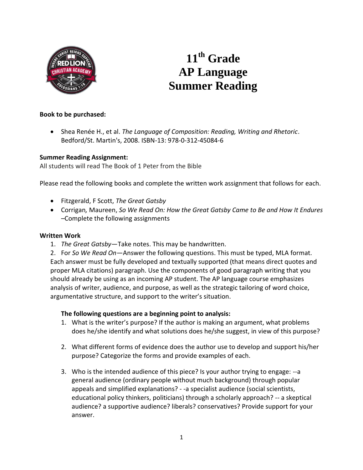

# **11 th Grade AP Language Summer Reading**

## **Book to be purchased:**

 Shea Renée H., et al. *The Language of Composition: Reading, Writing and Rhetoric*. Bedford/St. Martin's, 2008. ISBN-13: 978-0-312-45084-6

### **Summer Reading Assignment:**

All students will read The Book of 1 Peter from the Bible

Please read the following books and complete the written work assignment that follows for each.

- Fitzgerald, F Scott, *The Great Gatsby*
- Corrigan*,* Maureen, *So We Read On: How the Great Gatsby Came to Be and How It Endures –*Complete the following assignments

### **Written Work**

- 1. *The Great Gatsby*—Take notes. This may be handwritten.
- 2. For *So We Read On—*Answer the following questions. This must be typed, MLA format. Each answer must be fully developed and textually supported (that means direct quotes and proper MLA citations) paragraph. Use the components of good paragraph writing that you should already be using as an incoming AP student. The AP language course emphasizes analysis of writer, audience, and purpose, as well as the strategic tailoring of word choice, argumentative structure, and support to the writer's situation.

### **The following questions are a beginning point to analysis:**

- 1. What is the writer's purpose? If the author is making an argument, what problems does he/she identify and what solutions does he/she suggest, in view of this purpose?
- 2. What different forms of evidence does the author use to develop and support his/her purpose? Categorize the forms and provide examples of each.
- 3. Who is the intended audience of this piece? Is your author trying to engage: --a general audience (ordinary people without much background) through popular appeals and simplified explanations? - -a specialist audience (social scientists, educational policy thinkers, politicians) through a scholarly approach? -- a skeptical audience? a supportive audience? liberals? conservatives? Provide support for your answer.